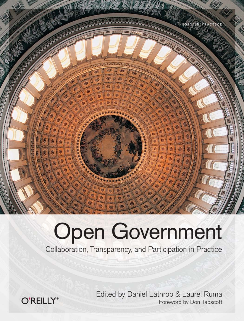

# **Open Government**

Collaboration, Transparency, and Participation in Practice



Edited by Daniel Lathrop & Laurel Ruma Foreword by Don Tapscott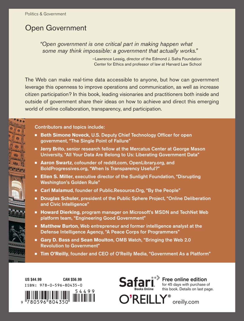## **Open Government**

"Open government is one critical part in making happen what some may think impossible: a government that actually works."

> -Lawrence Lessig, director of the Edmond J. Safra Foundation Center for Ethics and professor of law at Harvard Law School

The Web can make real-time data accessible to anyone, but how can government leverage this openness to improve operations and communication, as well as increase citizen participation? In this book, leading visionaries and practitioners both inside and outside of government share their ideas on how to achieve and direct this emerging world of online collaboration, transparency, and participation.

#### **Contributors and topics include:**

- Beth Simone Noveck, U.S. Deputy Chief Technology Officer for open government, "The Single Point of Failure"
- **F** Jerry Brito, senior research fellow at the Mercatus Center at George Mason University, "All Your Data Are Belong to Us: Liberating Government Data"
- Aaron Swartz, cofounder of reddit.com, OpenLibrary.org, and **BoldProgressives.org, "When Is Transparency Useful?"**
- **Ellen S. Miller, executive director of the Sunlight Foundation, "Disrupting" Washington's Golden Rule"**
- Carl Malamud, founder of Public.Resource.Org, "By the People"
- Douglas Schuler, president of the Public Sphere Project, "Online Deliberation and Civic Intelligence"
- **Howard Dierking, program manager on Microsoft's MSDN and TechNet Web** platform team, "Engineering Good Government"
- Matthew Burton, Web entrepreneur and former intelligence analyst at the Defense Intelligence Agency, "A Peace Corps for Programmers"
- Gary D. Bass and Sean Moulton, OMB Watch, "Bringing the Web 2.0 **Revolution to Government"**
- Tim O'Reilly, founder and CEO of O'Reilly Media, "Government As a Platform"





O'REILLY®

Free online edition for 45 days with purchase of this book. Details on last page.

oreillv.com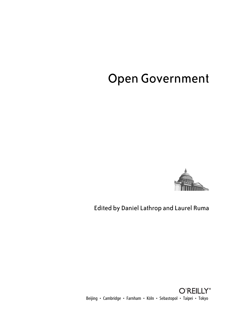# **Open Government**



Edited by Daniel Lathrop and Laurel Ruma

 $O^{\prime}$ RFII I $Y^{\circ}$ Beijing · Cambridge · Farnham · Köln · Sebastopol · Taipei · Tokyo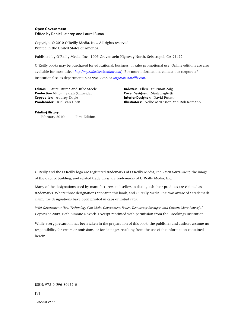#### Open Government Edited by Daniel Lathrop and Laurel Ruma

Copyright © 2010 O'Reilly Media, Inc.. All rights reserved. Printed in the United States of America.

Published by O'Reilly Media, Inc., 1005 Gravenstein Highway North, Sebastopol, CA 95472.

O'Reilly books may be purchased for educational, business, or sales promotional use. Online editions are also available for most titles (*[http://my.safaribooksonline.com](http://my.safaribooksonline.com/?portal=oreilly)*). For more information, contact our corporate/ institutional sales department: 800-998-9938 or *[corporate@oreilly.com](mailto:corporate@oreilly.com)*.

Editors: Laurel Ruma and Julie Steele **Production Editor:** Sarah Schneider Copyeditor: Audrey Doyle Proofreader: Kiel Van Horn

Indexer: Ellen Troutman Zaig Cover Designer: Mark Paglietti Interior Designer: David Futato **Illustrators:** Nellie McKesson and Rob Romano

#### Printing History:

February 2010: First Edition.

O'Reilly and the O'Reilly logo are registered trademarks of O'Reilly Media, Inc. *Open Government*, the image of the Capitol building, and related trade dress are trademarks of O'Reilly Media, Inc.

Many of the designations used by manufacturers and sellers to distinguish their products are claimed as trademarks. Where those designations appear in this book, and O'Reilly Media, Inc. was aware of a trademark claim, the designations have been printed in caps or initial caps.

*Wiki Government: How Technology Can Make Government Better, Democracy Stronger, and Citizens More Powerful*. Copyright 2009, Beth Simone Noveck. Excerpt reprinted with permission from the Brookings Institution.

While every precaution has been taken in the preparation of this book, the publisher and authors assume no responsibility for errors or omissions, or for damages resulting from the use of the information contained herein.

ISBN: 978-0-596-80435-0

[V]

1265403977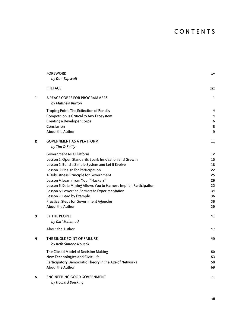#### CONTENTS

|   | <b>FOREWORD</b>                                                    | XV  |
|---|--------------------------------------------------------------------|-----|
|   | by Don Tapscott                                                    |     |
|   | <b>PREFACE</b>                                                     | xix |
|   |                                                                    |     |
| 1 | A PEACE CORPS FOR PROGRAMMERS<br>by Matthew Burton                 | 1   |
|   | Tipping Point: The Extinction of Pencils                           | 4   |
|   | Competition Is Critical to Any Ecosystem                           | 4   |
|   | <b>Creating a Developer Corps</b>                                  | 6   |
|   | Conclusion                                                         | 8   |
|   | About the Author                                                   | 9   |
| 2 | <b>GOVERNMENT AS A PLATFORM</b>                                    | 11  |
|   | by Tim O'Reilly                                                    |     |
|   | Government As a Platform                                           | 12  |
|   | Lesson 1: Open Standards Spark Innovation and Growth               | 15  |
|   | Lesson 2: Build a Simple System and Let It Evolve                  | 18  |
|   | Lesson 3: Design for Participation                                 | 22  |
|   | A Robustness Principle for Government                              | 25  |
|   | Lesson 4: Learn from Your "Hackers"                                | 29  |
|   | Lesson 5: Data Mining Allows You to Harness Implicit Participation | 32  |
|   | Lesson 6: Lower the Barriers to Experimentation                    | 34  |
|   | Lesson 7: Lead by Example                                          | 36  |
|   | Practical Steps for Government Agencies                            | 38  |
|   | About the Author                                                   | 39  |
| 3 | <b>BY THE PEOPLE</b>                                               | 41  |
|   | by Carl Malamud                                                    |     |
|   | About the Author                                                   | 47  |
| 4 | THE SINGLE POINT OF FAILURE<br>by Beth Simone Noveck               | 49  |
|   | The Closed Model of Decision Making                                | 50  |
|   | New Technologies and Civic Life                                    | 53  |
|   | Participatory Democratic Theory in the Age of Networks             | 58  |
|   | About the Author                                                   | 69  |
| 5 | <b>ENGINEERING GOOD GOVERNMENT</b>                                 | 71  |
|   | by Howard Dierking                                                 |     |
|   |                                                                    |     |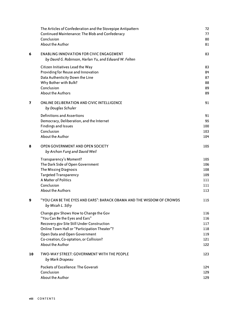|    | The Articles of Confederation and the Stovepipe Antipattern           | 72         |
|----|-----------------------------------------------------------------------|------------|
|    | Continued Maintenance: The Blob and Confederacy                       | 77         |
|    | Conclusion                                                            | 80         |
|    | About the Author                                                      | 81         |
| 6  | <b>ENABLING INNOVATION FOR CIVIC ENGAGEMENT</b>                       | 83         |
|    | by David G. Robinson, Harlan Yu, and Edward W. Felten                 |            |
|    | Citizen Initiatives Lead the Way                                      | 83         |
|    | Providing for Reuse and Innovation                                    | 84         |
|    | Data Authenticity Down the Line                                       | 87         |
|    | Why Bother with Bulk?                                                 | 88         |
|    | Conclusion<br><b>About the Authors</b>                                | 89<br>89   |
|    |                                                                       |            |
| 7  | ONLINE DELIBERATION AND CIVIC INTELLIGENCE                            | 91         |
|    | by Douglas Schuler                                                    |            |
|    | <b>Definitions and Assertions</b>                                     | 91         |
|    | Democracy, Deliberation, and the Internet                             | 95         |
|    | <b>Findings and Issues</b>                                            | 100        |
|    | Conclusion                                                            | 103        |
|    | About the Author                                                      | 104        |
| 8  | OPEN GOVERNMENT AND OPEN SOCIETY                                      | 105        |
|    | by Archon Fung and David Weil                                         |            |
|    | Transparency's Moment?                                                | 105        |
|    | The Dark Side of Open Government                                      | 106        |
|    | The Missing Diagnosis                                                 | 108        |
|    | Targeted Transparency                                                 | 109        |
|    | A Matter of Politics                                                  | 111        |
|    | Conclusion<br><b>About the Authors</b>                                | 111<br>113 |
|    |                                                                       |            |
| 9  | "YOU CAN BE THE EYES AND EARS": BARACK OBAMA AND THE WISDOM OF CROWDS | 115        |
|    | by Micah L. Sifry                                                     |            |
|    | Change.gov Shows How to Change the Gov                                | 116        |
|    | "You Can Be the Eyes and Ears"                                        | 116        |
|    | Recovery.gov Site Still Under Construction                            | 117        |
|    | Online Town Hall or "Participation Theater"?                          | 118        |
|    | Open Data and Open Government                                         | 119        |
|    | Co-creation, Co-optation, or Collision?<br>About the Author           | 121<br>122 |
|    |                                                                       |            |
| 10 | TWO-WAY STREET: GOVERNMENT WITH THE PEOPLE                            | 123        |
|    | by Mark Drapeau                                                       |            |
|    | Pockets of Excellence: The Goverati                                   | 124        |
|    | Conclusion                                                            | 129        |
|    | About the Author                                                      | 129        |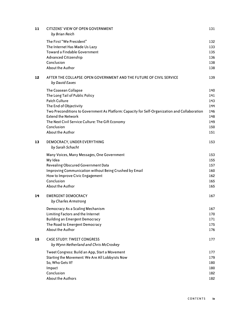| 11 | <b>CITIZENS' VIEW OF OPEN GOVERNMENT</b><br>by Brian Reich                                    | 131 |
|----|-----------------------------------------------------------------------------------------------|-----|
|    | The First "We President"                                                                      | 132 |
|    | The Internet Has Made Us Lazy                                                                 | 133 |
|    | Toward a Findable Government                                                                  | 135 |
|    | Advanced Citizenship                                                                          | 136 |
|    | Conclusion                                                                                    | 138 |
|    | About the Author                                                                              | 138 |
| 12 | AFTER THE COLLAPSE: OPEN GOVERNMENT AND THE FUTURE OF CIVIL SERVICE<br>by David Eaves         | 139 |
|    | The Coasean Collapse                                                                          | 140 |
|    | The Long Tail of Public Policy                                                                | 141 |
|    | <b>Patch Culture</b>                                                                          | 143 |
|    | The End of Objectivity                                                                        | 144 |
|    | Two Preconditions to Government As Platform: Capacity for Self-Organization and Collaboration | 146 |
|    | <b>Extend the Network</b>                                                                     | 148 |
|    | The Next Civil Service Culture: The Gift Economy                                              | 149 |
|    | Conclusion                                                                                    | 150 |
|    | About the Author                                                                              | 151 |
| 13 | DEMOCRACY, UNDER EVERYTHING<br>by Sarah Schacht                                               | 153 |
|    | Many Voices, Many Messages, One Government                                                    | 153 |
|    | My Idea                                                                                       | 155 |
|    | Revealing Obscured Government Data                                                            | 157 |
|    | Improving Communication without Being Crushed by Email                                        | 160 |
|    | How to Improve Civic Engagement                                                               | 162 |
|    | Conclusion                                                                                    | 165 |
|    | About the Author                                                                              | 165 |
| 14 | <b>EMERGENT DEMOCRACY</b>                                                                     | 167 |
|    | by Charles Armstrong                                                                          |     |
|    | Democracy As a Scaling Mechanism                                                              | 167 |
|    | Limiting Factors and the Internet                                                             | 170 |
|    | <b>Building an Emergent Democracy</b>                                                         | 171 |
|    | The Road to Emergent Democracy                                                                | 175 |
|    | About the Author                                                                              | 176 |
| 15 | <b>CASE STUDY: TWEET CONGRESS</b><br>by Wynn Netherland and Chris McCroskey                   | 177 |
|    | Tweet Congress: Build an App, Start a Movement                                                | 177 |
|    | Starting the Movement: We Are All Lobbyists Now                                               | 179 |
|    | So, Who Gets It?                                                                              | 180 |
|    | Impact                                                                                        | 180 |
|    | Conclusion                                                                                    | 182 |
|    | <b>About the Authors</b>                                                                      | 182 |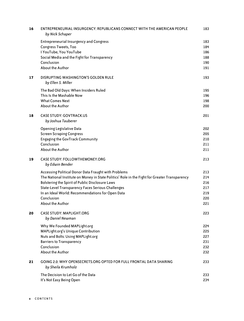| 16 | ENTREPRENEURIAL INSURGENCY: REPUBLICANS CONNECT WITH THE AMERICAN PEOPLE<br>by Nick Schaper   | 183        |
|----|-----------------------------------------------------------------------------------------------|------------|
|    | <b>Entrepreneurial Insurgency and Congress</b>                                                | 183        |
|    | Congress Tweets, Too                                                                          | 184        |
|    | I YouTube, You YouTube                                                                        | 186        |
|    | Social Media and the Fight for Transparency                                                   | 188        |
|    | Conclusion                                                                                    | 190        |
|    | About the Author                                                                              | 191        |
| 17 | DISRUPTING WASHINGTON'S GOLDEN RULE<br>by Ellen S. Miller                                     | 193        |
|    | The Bad Old Days: When Insiders Ruled                                                         | 195        |
|    | This Is the Mashable Now                                                                      | 196        |
|    | <b>What Comes Next</b>                                                                        | 198        |
|    | About the Author                                                                              | 200        |
| 18 | <b>CASE STUDY: GOVTRACK.US</b><br>by Joshua Tauberer                                          | 201        |
|    |                                                                                               |            |
|    | Opening Legislative Data<br><b>Screen Scraping Congress</b>                                   | 202<br>205 |
|    | Engaging the GovTrack Community                                                               | 210        |
|    | Conclusion                                                                                    | 211        |
|    | About the Author                                                                              | 211        |
| 19 | CASE STUDY: FOLLOWTHEMONEY.ORG<br>by Edwin Bender                                             | 213        |
|    | Accessing Political Donor Data Fraught with Problems                                          | 213        |
|    | The National Institute on Money in State Politics' Role in the Fight for Greater Transparency | 214        |
|    | Bolstering the Spirit of Public Disclosure Laws                                               | 216        |
|    | State-Level Transparency Faces Serious Challenges                                             | 217        |
|    | In an Ideal World: Recommendations for Open Data                                              | 219        |
|    | Conclusion                                                                                    | 220        |
|    | About the Author                                                                              | 221        |
| 20 | <b>CASE STUDY: MAPLIGHT.ORG</b><br>by Daniel Newman                                           | 223        |
|    | Why We Founded MAPLight.org                                                                   | 224        |
|    | MAPLight.org's Unique Contribution                                                            | 225        |
|    | Nuts and Bolts: Using MAPLight.org                                                            | 227        |
|    | <b>Barriers to Transparency</b>                                                               | 231        |
|    | Conclusion                                                                                    | 232        |
|    | About the Author                                                                              | 232        |
| 21 | GOING 2.0: WHY OPENSECRETS.ORG OPTED FOR FULL FRONTAL DATA SHARING<br>by Sheila Krumholz      | 233        |
|    | The Decision to Let Go of the Data                                                            | 233        |
|    | It's Not Easy Being Open                                                                      | 234        |
|    |                                                                                               |            |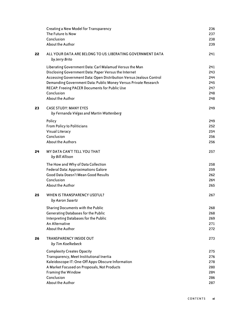|    | Creating a New Model for Transparency<br>The Future Is Now                   | 236<br>237 |
|----|------------------------------------------------------------------------------|------------|
|    | Conclusion                                                                   | 238        |
|    | About the Author                                                             | 239        |
| 22 | ALL YOUR DATA ARE BELONG TO US: LIBERATING GOVERNMENT DATA<br>by Jerry Brito | 241        |
|    | Liberating Government Data: Carl Malamud Versus the Man                      | 241        |
|    | Disclosing Government Data: Paper Versus the Internet                        | 243        |
|    | Accessing Government Data: Open Distribution Versus Jealous Control          | 244        |
|    | Demanding Government Data: Public Money Versus Private Research              | 245        |
|    | RECAP: Freeing PACER Documents for Public Use                                | 247        |
|    | Conclusion                                                                   | 248        |
|    | <b>About the Author</b>                                                      | 248        |
| 23 | <b>CASE STUDY: MANY EYES</b>                                                 | 249        |
|    | by Fernanda Viégas and Martin Wattenberg                                     |            |
|    | Policy                                                                       | 249        |
|    | From Policy to Politicians                                                   | 252        |
|    | Visual Literacy                                                              | 254        |
|    | Conclusion                                                                   | 256        |
|    | <b>About the Authors</b>                                                     | 256        |
| 24 | MY DATA CAN'T TELL YOU THAT<br>by Bill Allison                               | 257        |
|    | The How and Why of Data Collection                                           | 258        |
|    | <b>Federal Data: Approximations Galore</b>                                   | 259        |
|    | Good Data Doesn't Mean Good Results                                          | 262        |
|    | Conclusion                                                                   | 264        |
|    | About the Author                                                             | 265        |
| 25 | WHEN IS TRANSPARENCY USEFUL?                                                 | 267        |
|    | by Aaron Swartz                                                              |            |
|    | Sharing Documents with the Public                                            | 268        |
|    | Generating Databases for the Public                                          | 268        |
|    | Interpreting Databases for the Public                                        | 269        |
|    | An Alternative                                                               | 271        |
|    | About the Author                                                             | 272        |
| 26 | <b>TRANSPARENCY INSIDE OUT</b>                                               | 273        |
|    | by Tim Koelkebeck                                                            |            |
|    | <b>Complexity Creates Opacity</b>                                            | 275        |
|    | Transparency, Meet Institutional Inertia                                     | 276        |
|    | Kaleidoscope IT: One-Off Apps Obscure Information                            | 278        |
|    | A Market Focused on Proposals, Not Products                                  | 280        |
|    | Framing the Window                                                           | 284        |
|    | Conclusion                                                                   | 286        |
|    | About the Author                                                             | 287        |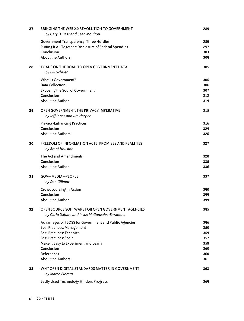| 27 | BRINGING THE WEB 2.0 REVOLUTION TO GOVERNMENT<br>by Gary D. Bass and Sean Moulton                    | 289 |
|----|------------------------------------------------------------------------------------------------------|-----|
|    | Government Transparency: Three Hurdles                                                               | 289 |
|    | Putting It All Together: Disclosure of Federal Spending                                              | 297 |
|    | Conclusion                                                                                           | 303 |
|    | <b>About the Authors</b>                                                                             | 304 |
| 28 | TOADS ON THE ROAD TO OPEN GOVERNMENT DATA<br>by Bill Schrier                                         | 305 |
|    | What Is Government?                                                                                  | 305 |
|    | Data Collection                                                                                      | 306 |
|    | Exposing the Soul of Government                                                                      | 307 |
|    | Conclusion                                                                                           | 313 |
|    | About the Author                                                                                     | 314 |
| 29 | <b>OPEN GOVERNMENT: THE PRIVACY IMPERATIVE</b><br>by Jeff Jonas and Jim Harper                       | 315 |
|    | Privacy-Enhancing Practices                                                                          | 316 |
|    | Conclusion                                                                                           | 324 |
|    | <b>About the Authors</b>                                                                             | 325 |
| 30 | FREEDOM OF INFORMATION ACTS: PROMISES AND REALITIES<br>by Brant Houston                              | 327 |
|    | The Act and Amendments                                                                               | 328 |
|    | Conclusion                                                                                           | 335 |
|    | About the Author                                                                                     | 336 |
| 31 | GOV→MEDIA→PEOPLE<br>by Dan Gillmor                                                                   | 337 |
|    | Crowdsourcing in Action                                                                              | 340 |
|    | Conclusion                                                                                           | 344 |
|    | About the Author                                                                                     | 344 |
| 32 | OPEN SOURCE SOFTWARE FOR OPEN GOVERNMENT AGENCIES<br>by Carlo Daffara and Jesus M. Gonzalez-Barahona | 345 |
|    | Advantages of FLOSS for Government and Public Agencies                                               | 346 |
|    | Best Practices: Management                                                                           | 350 |
|    | <b>Best Practices: Technical</b>                                                                     | 354 |
|    | <b>Best Practices: Social</b>                                                                        | 357 |
|    | Make It Easy to Experiment and Learn                                                                 | 359 |
|    | Conclusion                                                                                           | 360 |
|    | References                                                                                           | 360 |
|    | About the Authors                                                                                    | 361 |
| 33 | WHY OPEN DIGITAL STANDARDS MATTER IN GOVERNMENT                                                      | 363 |
|    | by Marco Fioretti                                                                                    |     |
|    | <b>Badly Used Technology Hinders Progress</b>                                                        | 364 |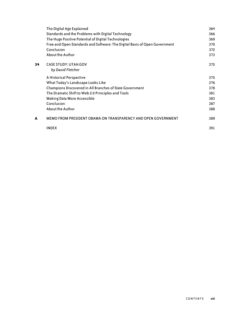|    | The Digital Age Explained                                                  | 364 |
|----|----------------------------------------------------------------------------|-----|
|    | Standards and the Problems with Digital Technology                         | 366 |
|    | The Huge Positive Potential of Digital Technologies                        | 369 |
|    | Free and Open Standards and Software: The Digital Basis of Open Government | 370 |
|    | Conclusion                                                                 | 372 |
|    | About the Author                                                           | 373 |
| 34 | <b>CASE STUDY: UTAH.GOV</b>                                                | 375 |
|    | by David Fletcher                                                          |     |
|    | A Historical Perspective                                                   | 375 |
|    | What Today's Landscape Looks Like                                          | 376 |
|    | Champions Discovered in All Branches of State Government                   | 378 |
|    | The Dramatic Shift to Web 2.0 Principles and Tools                         | 381 |
|    | Making Data More Accessible                                                | 383 |
|    | Conclusion                                                                 | 387 |
|    | About the Author                                                           | 388 |
| A  | MEMO FROM PRESIDENT OBAMA ON TRANSPARENCY AND OPEN GOVERNMENT              | 389 |
|    | <b>INDEX</b>                                                               | 391 |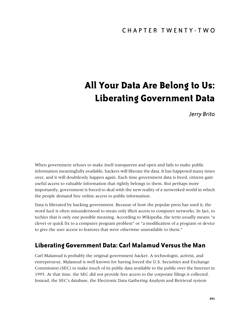# <span id="page-12-0"></span>All Your Data Are Belong to Us: Liberating Government Data

*,GTT[-\$TKVQ*

When government refuses to make itself transparent and open and fails to make public information meaningfully available, hackers will liberate the data. It has happened many times over, and it will doubtlessly happen again. Each time government data is freed, citizens gain useful access to valuable information that rightly belongs to them. But perhaps more importantly, government is forced to deal with the new reality of a networked world in which the people demand free online access to public information.

Data is liberated by hacking government. Because of how the popular press has used it, the word *hack* is often misunderstood to mean only illicit access to computer networks. In fact, to techies that is only one possible meaning. According to Wikipedia, the term usually means "a clever or quick fix to a computer program problem" or "a modification of a program or device to give the user access to features that were otherwise unavailable to them."

#### <span id="page-12-1"></span>Liberating Government Data: Carl Malamud Versus the Man

Carl Malamud is probably the original government hacker. A technologist, activist, and entrepreneur, Malamud is well known for having forced the U.S. Securities and Exchange Commission (SEC) to make much of its public data available to the public over the Internet in 1995. At that time, the SEC did not provide free access to the corporate filings it collected. Instead, the SEC's database, the Electronic Data Gathering Analysis and Retrieval system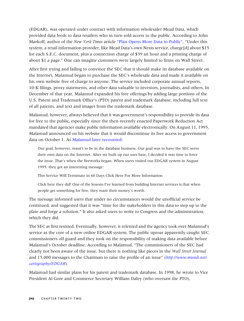(EDGAR), was operated under contract with information wholesaler Mead Data, which provided data feeds to data retailers who in turn sold access to the public. According to John Markoff, author of the *New York Times* article ["Plan Opens More Data to Public"](http://www.nytimes.com/1993/10/22/business/plan-opens-more-data-to-public.html), "Under this system, a retail information provider, like Mead Data's own Nexis service, charge[d] about \$15 for each S.E.C. document, plus a connection charge of \$39 an hour and a printing charge of about \$1 a page." One can imagine customers were largely limited to firms on Wall Street.

After first trying and failing to convince the SEC that it should make its database available on the Internet, Malamud began to purchase the SEC's wholesale data and made it available on his own website free of charge to anyone. The service included corporate annual reports, 10-K filings, proxy statements, and other data valuable to investors, journalists, and others. In December of that year, Malamud expanded his free offerings by adding large portions of the U.S. Patent and Trademark Office's (PTO) patent and trademark database, including full text of all patents, and text and images from the trademark database.

Malamud, however, always believed that it was government's responsibility to provide its data for free to the public, especially since the then-recently enacted Paperwork Reduction Act mandated that agencies make public information available electronically. On August 11, 1995, Malamud announced on his website that it would discontinue its free access to government data on October 1. As [Malamud later recounted](http://www.mundi.net/cartography/EDGAR):

Our goal, however, wasn't to be in the database business. Our goal was to have the SEC serve their own data on the Internet. After we built up our user base, I decided it was time to force the issue. That's when the fireworks began. When users visited our EDGAR system in August 1995, they got an interesting message:

This Service Will Terminate in 60 Days Click Here For More Information

Click here they did! One of the lessons I've learned from building Internet services is that when people get something for free, they want their money's worth.

The message informed users that under no circumstances would the unofficial service be continued, and suggested that it was "time for the stakeholders in this data to step up to the plate and forge a solution." It also asked users to write to Congress and the administration, which they did.

The SEC at first resisted. Eventually, however, it relented and the agency took over Malamud's service as the core of a new online EDGAR system. The public uproar apparently caught SEC commissioners off guard and they took on the responsibility of making data available before Malamud's October deadline. According to Malamud, "The commissioners of the SEC had clearly not been aware of the issue, but there is nothing like pieces in the *Wall Street Journal* and 15,000 messages to the Chairman to raise the profile of an issue" (*[http://www.mundi.net/](http://www.mundi.net/cartography/EDGAR) [cartography/EDGAR](http://www.mundi.net/cartography/EDGAR)*).

Malamud had similar plans for his patent and trademark database. In 1998, he wrote to Vice President Al Gore and Commerce Secretary William Daley (who oversaw the PTO),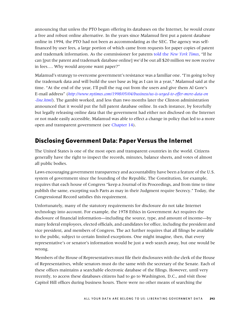announcing that unless the PTO began offering its databases on the Internet, he would create a free and robust online alternative. In the years since Malamud first put a patent database online in 1994, the PTO had not been as accommodating as the SEC. The agency was selffinanced by user fees, a large portion of which came from requests for paper copies of patent and trademark information. As the commissioner for patents told the *[New York Times](http://www.nytimes.com/1998/05/04/business/us-is-urged-to-offer-more-data-on-line.html)*, "If he can [put the patent and trademark database online] we'd be out all \$20 million we now receive in fees…. Why would anyone want paper?"

Malamud's strategy to overcome government's resistance was a familiar one. "I'm going to buy the trademark data and will build the user base as big as I can in a year," Malamud said at the time. "At the end of the year, I'll pull the rug out from the users and give them Al Gore's E-mail address" (*[http://www.nytimes.com/1998/05/04/business/us-is-urged-to-offer-more-data-on](http://www.nytimes.com/1998/05/04/business/us-is-urged-to-offer-more-data-on-line.html) [-line.html](http://www.nytimes.com/1998/05/04/business/us-is-urged-to-offer-more-data-on-line.html)*). The gambit worked, and less than two months later the Clinton administration announced that it would put the full patent database online. In each instance, by forcefully but legally releasing online data that the government had either not disclosed on the Internet or not made easily accessible, Malamud was able to effect a change in policy that led to a more open and transparent government (see [Chapter 14\)](#page-0-0).

#### <span id="page-14-0"></span>Disclosing Government Data: Paper Versus the Internet

The United States is one of the most open and transparent countries in the world. Citizens generally have the right to inspect the records, minutes, balance sheets, and votes of almost all public bodies.

Laws encouraging government transparency and accountability have been a feature of the U.S. system of government since the founding of the Republic. The Constitution, for example, requires that each house of Congress "keep a Journal of its Proceedings, and from time to time publish the same, excepting such Parts as may in their Judgment require Secrecy." Today, the Congressional Record satisfies this requirement.

Unfortunately, many of the statutory requirements for disclosure do not take Internet technology into account. For example, the 1978 Ethics in Government Act requires the disclosure of financial information—including the source, type, and amount of income—by many federal employees, elected officials, and candidates for office, including the president and vice president, and members of Congress. The act further requires that all filings be available to the public, subject to certain limited exceptions. One might imagine, then, that every representative's or senator's information would be just a web search away, but one would be wrong.

Members of the House of Representatives must file their disclosures with the clerk of the House of Representatives, while senators must do the same with the secretary of the Senate. Each of these offices maintains a searchable electronic database of the filings. However, until very recently, to access these databases citizens had to go to Washington, D.C., and visit those Capitol Hill offices during business hours. There were no other means of searching the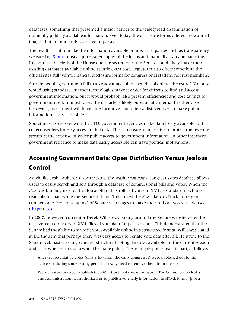databases, something that presented a major barrier to the widespread dissemination of nominally publicly available information. Even today, the disclosure forms offered are scanned images that are not easily searched or parsed.

The result is that to make the information available online, third parties such as transparency website [LegiStorm](http://www.legistorm.com/) must acquire paper copies of the forms and manually scan and parse them. In contrast, the clerk of the House and the secretary of the Senate could likely make their existing databases available online at little extra cost. LegiStorm also offers something the official sites still won't: financial disclosure forms for congressional staffers, not just members.

So, why would government fail to take advantage of the benefits of online disclosure? Not only would using standard Internet technologies make it easier for citizens to find and access government information, but it would probably also present efficiencies and cost savings to government itself. In most cases, the obstacle is likely bureaucratic inertia. In other cases, however, government will have little incentive, and often a disincentive, to make public information easily accessible.

Sometimes, as we saw with the PTO, government agencies make data freely available, but collect user fees for easy access to that data. This can create an incentive to protect the revenue stream at the expense of wider public access to government information. In other instances, government reticence to make data easily accessible can have political motivations.

### <span id="page-15-0"></span>Accessing Government Data: Open Distribution Versus Jealous Control

Much like Josh Tauberer's GovTrack.us, the *Washington Post*'s Congress Votes database allows users to easily search and sort through a database of congressional bills and votes. When the *Post* was building its site, the House offered its roll call votes in XML, a standard machinereadable format, while the Senate did not. This forced the *Post*, like GovTrack, to rely on cumbersome "screen scraping" of Senate web pages to make their roll call votes usable (see [Chapter 18\)](#page-0-0).

In 2007, however, co-creator Derek Willis was poking around the Senate website when he discovered a directory of XML files of vote data for past sessions. This demonstrated that the Senate had the ability to make its votes available online in a structured format. Willis was elated at the thought that perhaps there was easy access to Senate vote data after all. He wrote to the Senate webmaster asking whether structured voting data was available for the current session and, if so, whether this data would be made public. The telling response read, in part, as follows:

A few representative votes (only a few from the early congresses) were published out to the active site during some testing periods. I really need to remove them from the site.

We are not authorized to publish the XML structured vote information. The Committee on Rules and Administration has authorized us to publish vote tally information in HTML format [not a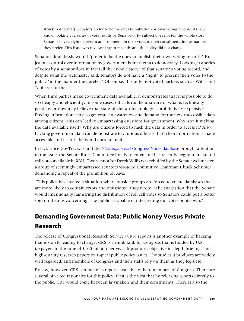structured format]. Senators prefer to be the ones to publish their own voting records. As you know, looking at a series of vote results by Senator or by subject does not tell the whole story. Senators have a right to present and comment on their votes to their constituents in the manner they prefer. This issue was reviewed again recently and the policy did not change.

Senators doubtlessly would "prefer to be the ones to publish their own voting records." But jealous control over information by government is anathema to democracy. Looking at a series of votes by a senator does in fact tell the "whole story" of that senator's voting record, and despite what the webmaster said, senators do not have a "right" to present their votes to the public "in the manner they prefer." Of course, this only motivated hackers such as Willis and Tauberer further.

When third parties make government data available, it demonstrates that it is possible to do so cheaply and efficiently. In some cases, officials can be unaware of what is technically possible, or they may believe that state-of-the-art technology is prohibitively expensive. Freeing information can also generate an awareness and demand for the newly accessible data among citizens. This can lead to embarrassing questions for government: why isn't it making the data available itself? Why are citizens forced to hack the data in order to access it? Also, hacking government data can demonstrate to cautious officials that when information is made accessible and useful, the world does not end.

In fact, since GovTrack.us and the *Washington Post* [Congress Votes database](http://projects.washingtonpost.com/congress/) brought attention to the issue, the Senate Rules Committee finally relented and has recently begun to make roll call votes available in XML. Two years after Derek Willis was rebuffed by the Senate webmaster, a group of seemingly embarrassed senators wrote to Committee Chairman Chuck Schumer demanding a repeal of the prohibition on XML.

"This policy has created a situation where outside groups are forced to create databases that are more likely to contain errors and omissions," they wrote. "The suggestion that the Senate would intentionally hamstring the distribution of roll call votes so Senators could put a better spin on them is concerning. The public is capable of interpreting our votes on its own."

## <span id="page-16-0"></span>Demanding Government Data: Public Money Versus Private Research

The release of Congressional Research Service (CRS) reports is another example of hacking that is slowly leading to change. CRS is a think tank for Congress that is funded by U.S. taxpayers to the tune of \$100 million per year. It produces objective in-depth briefings and high-quality research papers on topical public policy issues. The studies it produces are widely well regarded, and members of Congress and their staffs rely on them as they legislate.

By law, however, CRS can make its reports available only to members of Congress. There are several oft-cited rationales for this policy. First is the idea that by releasing reports directly to the public, CRS would come between lawmakers and their constituents. There is also the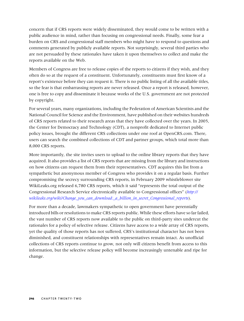concern that if CRS reports were widely disseminated, they would come to be written with a public audience in mind, rather than focusing on congressional needs. Finally, some fear a burden on CRS and congressional staff members who might have to respond to questions and comments generated by publicly available reports. Not surprisingly, several third parties who are not persuaded by these rationales have taken it upon themselves to collect and make the reports available on the Web.

Members of Congress are free to release copies of the reports to citizens if they wish, and they often do so at the request of a constituent. Unfortunately, constituents must first know of a report's existence before they can request it. There is no public listing of all the available titles, so the fear is that embarrassing reports are never released. Once a report is released, however, one is free to copy and disseminate it because works of the U.S. government are not protected by copyright.

For several years, many organizations, including the Federation of American Scientists and the National Council for Science and the Environment, have published on their websites hundreds of CRS reports related to their research areas that they have collected over the years. In 2005, the Center for Democracy and Technology (CDT), a nonprofit dedicated to Internet public policy issues, brought the different CRS collections under one roof at OpenCRS.com. There, users can search the combined collections of CDT and partner groups, which total more than 8,000 CRS reports.

More importantly, the site invites users to upload to the online library reports that they have acquired. It also provides a list of CRS reports that are missing from the library and instructions on how citizens can request them from their representatives. CDT acquires this list from a sympathetic but anonymous member of Congress who provides it on a regular basis. Further compromising the secrecy surrounding CRS reports, in February 2009 whistleblower site WikiLeaks.org released 6,780 CRS reports, which it said "represents the total output of the Congressional Research Service electronically available to Congressional offices" (*[http://](http://wikileaks.org/wiki/Change_you_can_download:_a_billion_in_secret_Congressional_reports) [wikileaks.org/wiki/Change\\_you\\_can\\_download:\\_a\\_billion\\_in\\_secret\\_Congressional\\_reports](http://wikileaks.org/wiki/Change_you_can_download:_a_billion_in_secret_Congressional_reports)*).

For more than a decade, lawmakers sympathetic to open government have perennially introduced bills or resolutions to make CRS reports public. While these efforts have so far failed, the vast number of CRS reports now available to the public on third-party sites undercut the rationales for a policy of selective release. Citizens have access to a wide array of CRS reports, yet the quality of those reports has not suffered, CRS's institutional character has not been diminished, and constituent relationships with representatives remain intact. As unofficial collections of CRS reports continue to grow, not only will citizens benefit from access to this information, but the selective release policy will become increasingly untenable and ripe for change.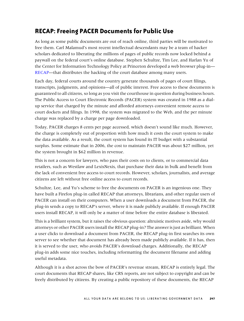#### <span id="page-18-0"></span>RECAP: Freeing PACER Documents for Public Use

As long as some public documents are out of reach online, third parties will be motivated to free them. Carl Malamud's most recent intellectual descendants may be a team of hacker scholars dedicated to liberating the millions of pages of public records now locked behind a paywall on the federal court's online database. Stephen Schultze, Tim Lee, and Harlan Yu of the Center for Information Technology Policy at Princeton developed a web browser plug-in— [RECAP](https://www.recapthelaw.org/)—that distributes the hacking of the court database among many users.

Each day, federal courts around the country generate thousands of pages of court filings, transcripts, judgments, and opinions—all of public interest. Free access to these documents is guaranteed to all citizens, so long as you visit the courthouse in question during business hours. The Public Access to Court Electronic Records (PACER) system was created in 1988 as a dialup service that charged by the minute and afforded attorneys convenient remote access to court dockets and filings. In 1998, the system was migrated to the Web, and the per minute charge was replaced by a charge per page downloaded.

Today, PACER charges 8 cents per page accessed, which doesn't sound like much. However, the charge is completely out of proportion with how much it costs the court system to make the data available. As a result, the court system has found its IT budget with a substantial surplus. Some estimate that in 2006, the cost to maintain PACER was about \$27 million, yet the system brought in \$62 million in revenue.

This is not a concern for lawyers, who pass their costs on to clients, or to commercial data retailers, such as Westlaw and LexisNexis, that purchase their data in bulk and benefit from the lack of convenient free access to court records. However, scholars, journalists, and average citizens are left without free online access to court records.

Schultze, Lee, and Yu's scheme to free the documents on PACER is an ingenious one. They have built a Firefox plug-in called RECAP that attorneys, librarians, and other regular users of PACER can install on their computers. When a user downloads a document from PACER, the plug-in sends a copy to RECAP's server, where it is made publicly available. If enough PACER users install RECAP, it will only be a matter of time before the entire database is liberated.

This is a brilliant system, but it raises the obvious question: altruistic motives aside, why would attorneys or other PACER users install the RECAP plug-in? The answer is just as brilliant. When a user clicks to download a document from PACER, the RECAP plug-in first searches its own server to see whether that document has already been made publicly available. If it has, then it is served to the user, who avoids PACER's download charges. Additionally, the RECAP plug-in adds some nice touches, including reformatting the document filename and adding useful metadata.

Although it is a shot across the bow of PACER's revenue stream, RECAP is entirely legal. The court documents that RECAP shares, like CRS reports, are not subject to copyright and can be freely distributed by citizens. By creating a public repository of these documents, the RECAP